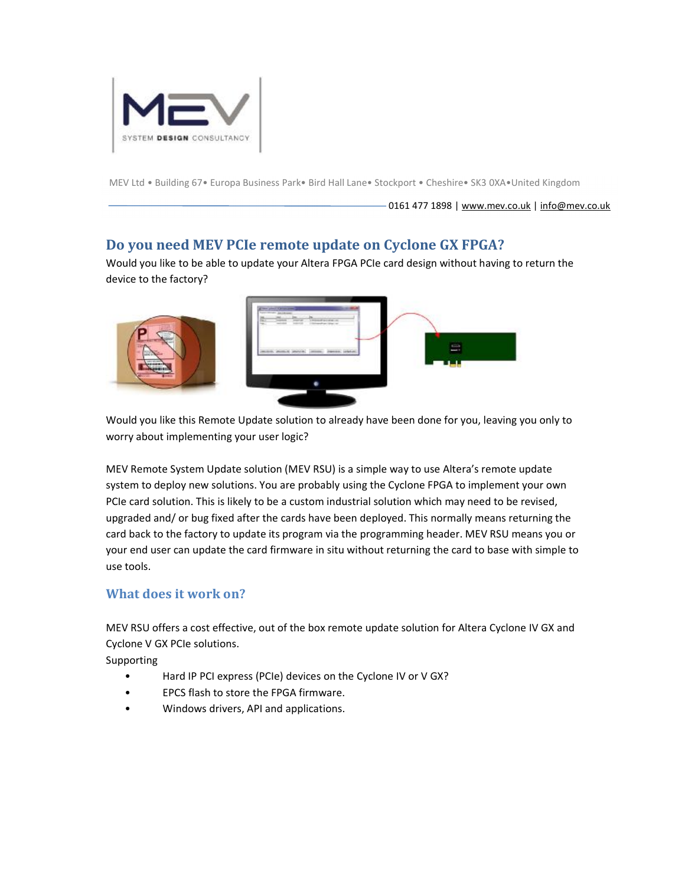

MEV Ltd • Building 67• Europa Business Park• Bird Hall Lane• Stockport • Cheshire• SK3 0XA•United Kingdom

0161 477 1898 | [www.mev.co.uk](http://www.mev.co.uk) | [info@mev.co.uk](mailto:info@mev.co.uk)

### **Do you need MEV PCIe remote update on Cyclone GX FPGA?**

Would you like to be able to update your Altera FPGA PCIe card design without having to return the device to the factory?



Would you like this Remote Update solution to already have been done for you, leaving you only to worry about implementing your user logic?

MEV Remote System Update solution (MEV RSU) is a simple way to use Altera's remote update system to deploy new solutions. You are probably using the Cyclone FPGA to implement your own PCIe card solution. This is likely to be a custom industrial solution which may need to be revised, upgraded and/ or bug fixed after the cards have been deployed. This normally means returning the card back to the factory to update its program via the programming header. MEV RSU means you or your end user can update the card firmware in situ without returning the card to base with simple to use tools.

#### **What does it work on?**

MEV RSU offers a cost effective, out of the box remote update solution for Altera Cyclone IV GX and Cyclone V GX PCIe solutions.

Supporting

- Hard IP PCI express (PCIe) devices on the Cyclone IV or V GX?
- EPCS flash to store the FPGA firmware.
- Windows drivers, API and applications.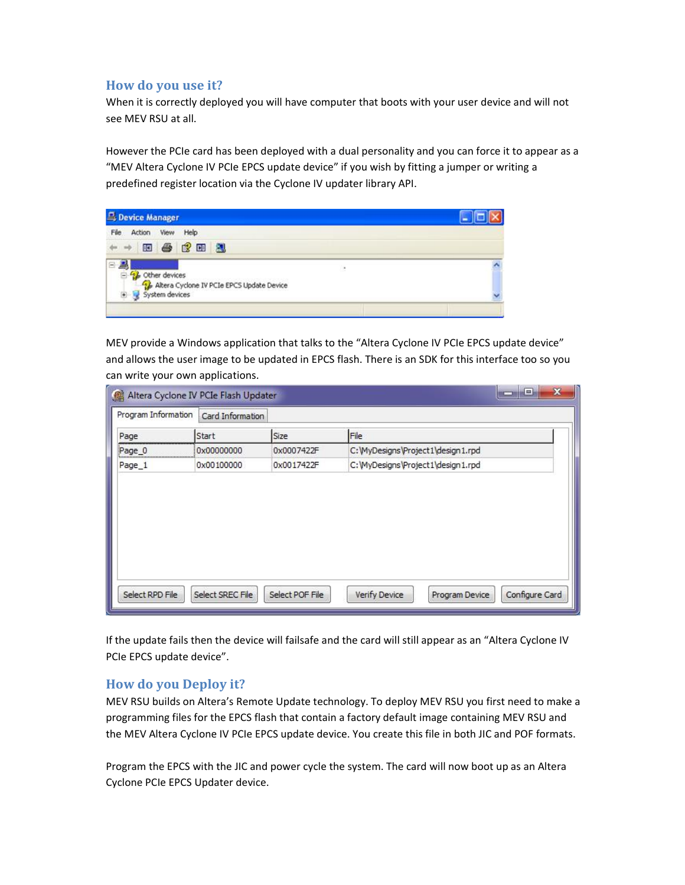### **How do you use it?**

When it is correctly deployed you will have computer that boots with your user device and will not see MEV RSU at all.

However the PCIe card has been deployed with a dual personality and you can force it to appear as a "MEV Altera Cyclone IV PCIe EPCS update device" if you wish by fitting a jumper or writing a predefined register location via the Cyclone IV updater library API.

| <b>Device Manager</b> |        |                |      |                                           |                          |  |
|-----------------------|--------|----------------|------|-------------------------------------------|--------------------------|--|
| File                  | Action | View           | Help |                                           |                          |  |
|                       |        | 田母良田园          |      |                                           |                          |  |
| e<br>Θ                |        | Cther devices  |      |                                           | $\overline{\phantom{a}}$ |  |
|                       |        | System devices |      | Altera Cyclone IV PCIe EPCS Update Device |                          |  |
|                       |        |                |      |                                           |                          |  |

MEV provide a Windows application that talks to the "Altera Cyclone IV PCIe EPCS update device" and allows the user image to be updated in EPCS flash. There is an SDK for this interface too so you can write your own applications.

| Program Information | Card Information |            |                                    |
|---------------------|------------------|------------|------------------------------------|
| Page                | Start            | Size       | File                               |
| Page 0              | 0x00000000       | 0x0007422F | C: WyDesigns \Project1\design1.rpd |
| Page 1              | 0x00100000       | 0x0017422F | C: WyDesigns \Project1\design1.rpd |
|                     |                  |            |                                    |
|                     |                  |            |                                    |

If the update fails then the device will failsafe and the card will still appear as an "Altera Cyclone IV PCIe EPCS update device".

#### **How do you Deploy it?**

MEV RSU builds on Altera's Remote Update technology. To deploy MEV RSU you first need to make a programming files for the EPCS flash that contain a factory default image containing MEV RSU and the MEV Altera Cyclone IV PCIe EPCS update device. You create this file in both JIC and POF formats.

Program the EPCS with the JIC and power cycle the system. The card will now boot up as an Altera Cyclone PCIe EPCS Updater device.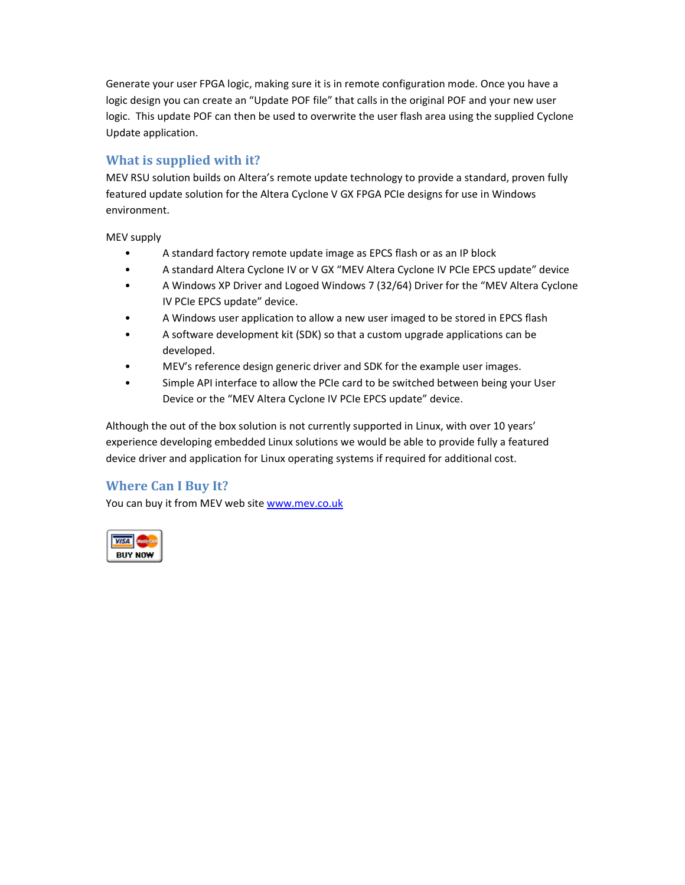Generate your user FPGA logic, making sure it is in remote configuration mode. Once you have a logic design you can create an "Update POF file" that calls in the original POF and your new user logic. This update POF can then be used to overwrite the user flash area using the supplied Cyclone Update application.

## **What is supplied with it?**

MEV RSU solution builds on Altera's remote update technology to provide a standard, proven fully featured update solution for the Altera Cyclone V GX FPGA PCIe designs for use in Windows environment.

MEV supply

- A standard factory remote update image as EPCS flash or as an IP block
- A standard Altera Cyclone IV or V GX "MEV Altera Cyclone IV PCIe EPCS update" device
- A Windows XP Driver and Logoed Windows 7 (32/64) Driver for the "MEV Altera Cyclone IV PCIe EPCS update" device.
- A Windows user application to allow a new user imaged to be stored in EPCS flash
- A software development kit (SDK) so that a custom upgrade applications can be developed.
- MEV's reference design generic driver and SDK for the example user images.
- Simple API interface to allow the PCIe card to be switched between being your User Device or the "MEV Altera Cyclone IV PCIe EPCS update" device.

Although the out of the box solution is not currently supported in Linux, with over 10 years' experience developing embedded Linux solutions we would be able to provide fully a featured device driver and application for Linux operating systems if required for additional cost.

## **Where Can I Buy It?**

You can buy it from MEV web site [www.mev.co.uk](http://www.mev.co.uk)

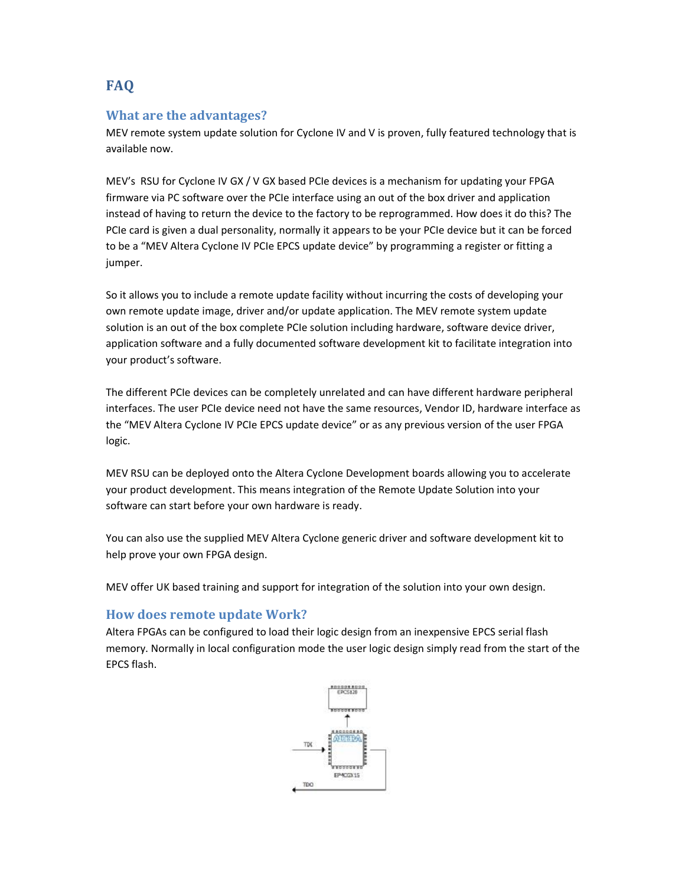# **FAQ**

### **What are the advantages?**

MEV remote system update solution for Cyclone IV and V is proven, fully featured technology that is available now.

MEV's RSU for Cyclone IV GX / V GX based PCIe devices is a mechanism for updating your FPGA firmware via PC software over the PCIe interface using an out of the box driver and application instead of having to return the device to the factory to be reprogrammed. How does it do this? The PCIe card is given a dual personality, normally it appears to be your PCIe device but it can be forced to be a "MEV Altera Cyclone IV PCIe EPCS update device" by programming a register or fitting a jumper.

So it allows you to include a remote update facility without incurring the costs of developing your own remote update image, driver and/or update application. The MEV remote system update solution is an out of the box complete PCIe solution including hardware, software device driver, application software and a fully documented software development kit to facilitate integration into your product's software.

The different PCIe devices can be completely unrelated and can have different hardware peripheral interfaces. The user PCIe device need not have the same resources, Vendor ID, hardware interface as the "MEV Altera Cyclone IV PCIe EPCS update device" or as any previous version of the user FPGA logic.

MEV RSU can be deployed onto the Altera Cyclone Development boards allowing you to accelerate your product development. This means integration of the Remote Update Solution into your software can start before your own hardware is ready.

You can also use the supplied MEV Altera Cyclone generic driver and software development kit to help prove your own FPGA design.

MEV offer UK based training and support for integration of the solution into your own design.

#### **How does remote update Work?**

Altera FPGAs can be configured to load their logic design from an inexpensive EPCS serial flash memory. Normally in local configuration mode the user logic design simply read from the start of the EPCS flash.

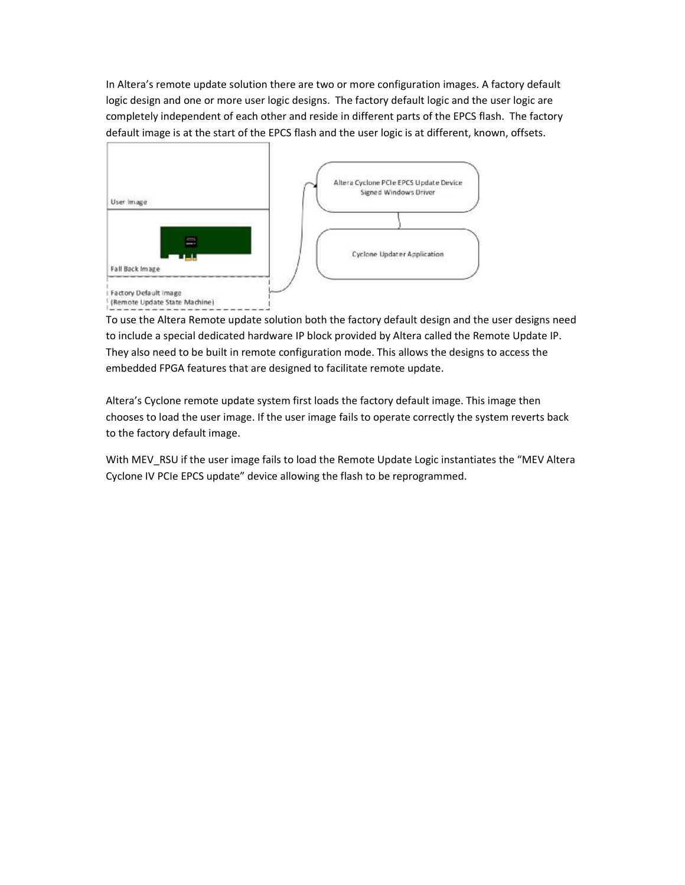In Altera's remote update solution there are two or more configuration images. A factory default logic design and one or more user logic designs. The factory default logic and the user logic are completely independent of each other and reside in different parts of the EPCS flash. The factory default image is at the start of the EPCS flash and the user logic is at different, known, offsets.



To use the Altera Remote update solution both the factory default design and the user designs need to include a special dedicated hardware IP block provided by Altera called the Remote Update IP. They also need to be built in remote configuration mode. This allows the designs to access the embedded FPGA features that are designed to facilitate remote update.

Altera's Cyclone remote update system first loads the factory default image. This image then chooses to load the user image. If the user image fails to operate correctly the system reverts back to the factory default image.

With MEV\_RSU if the user image fails to load the Remote Update Logic instantiates the "MEV Altera Cyclone IV PCIe EPCS update" device allowing the flash to be reprogrammed.